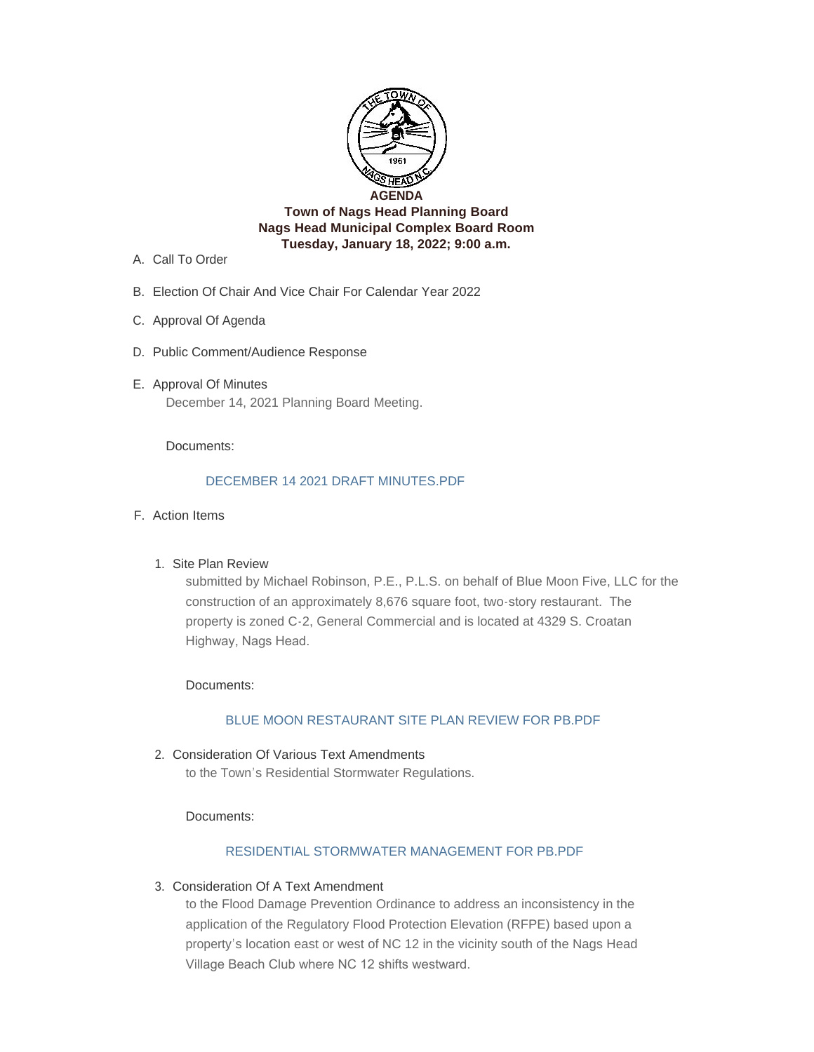

- A. Call To Order
- Election Of Chair And Vice Chair For Calendar Year 2022 B.
- C. Approval Of Agenda
- D. Public Comment/Audience Response
- E. Approval Of Minutes December 14, 2021 Planning Board Meeting.

Documents:

## [DECEMBER 14 2021 DRAFT MINUTES.PDF](http://nagsheadnc.gov/AgendaCenter/ViewFile/Item/3830?fileID=5960)

- Action Items F.
	- 1. Site Plan Review

submitted by Michael Robinson, P.E., P.L.S. on behalf of Blue Moon Five, LLC for the construction of an approximately 8,676 square foot, two-story restaurant. The property is zoned C-2, General Commercial and is located at 4329 S. Croatan Highway, Nags Head.

Documents:

# BLUE MOON RESTAURANT SITE PLAN REVIEW FOR PB PDE

2. Consideration Of Various Text Amendments to the Town's Residential Stormwater Regulations.

Documents:

# [RESIDENTIAL STORMWATER MANAGEMENT FOR PB.PDF](http://nagsheadnc.gov/AgendaCenter/ViewFile/Item/3844?fileID=5969)

3. Consideration Of A Text Amendment

to the Flood Damage Prevention Ordinance to address an inconsistency in the application of the Regulatory Flood Protection Elevation (RFPE) based upon a property's location east or west of NC 12 in the vicinity south of the Nags Head Village Beach Club where NC 12 shifts westward.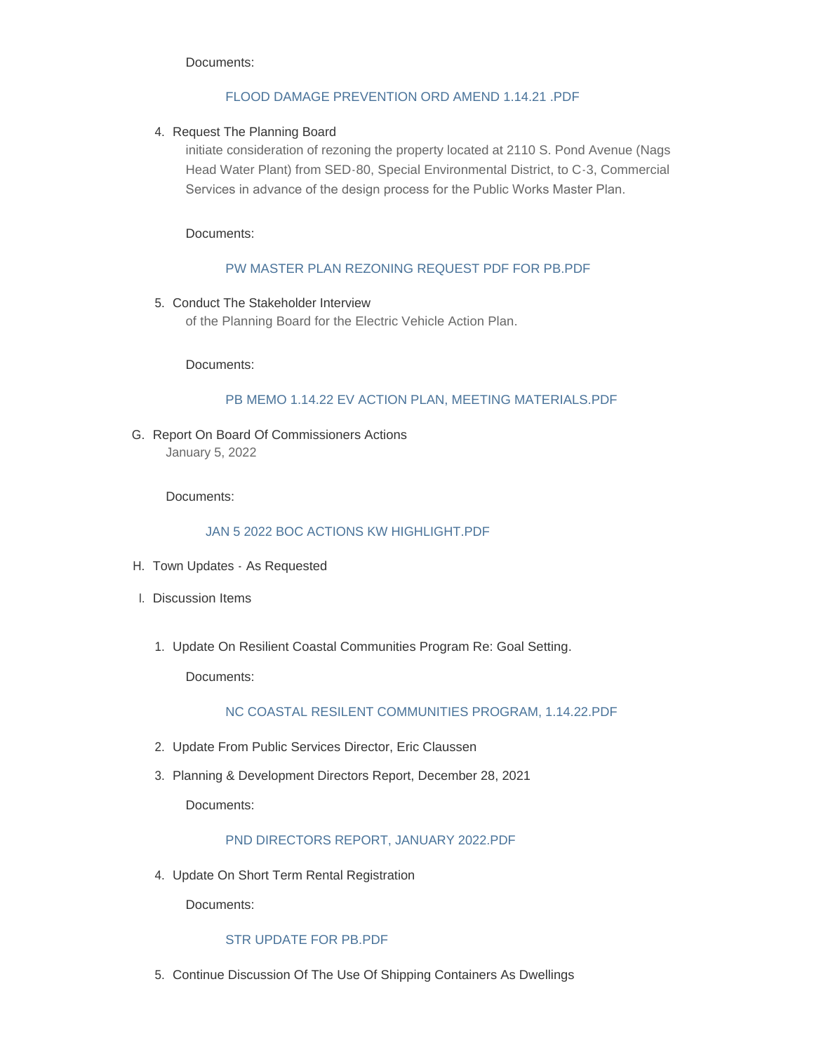#### Documents:

### [FLOOD DAMAGE PREVENTION ORD AMEND 1.14.21 .PDF](http://nagsheadnc.gov/AgendaCenter/ViewFile/Item/3845?fileID=5967)

### 4. Request The Planning Board

initiate consideration of rezoning the property located at 2110 S. Pond Avenue (Nags Head Water Plant) from SED-80, Special Environmental District, to C-3, Commercial Services in advance of the design process for the Public Works Master Plan.

Documents:

## [PW MASTER PLAN REZONING REQUEST PDF FOR PB.PDF](http://nagsheadnc.gov/AgendaCenter/ViewFile/Item/3846?fileID=5961)

5. Conduct The Stakeholder Interview of the Planning Board for the Electric Vehicle Action Plan.

Documents:

### [PB MEMO 1.14.22 EV ACTION PLAN, MEETING MATERIALS.PDF](http://nagsheadnc.gov/AgendaCenter/ViewFile/Item/3847?fileID=5968)

G. Report On Board Of Commissioners Actions January 5, 2022

Documents:

### [JAN 5 2022 BOC ACTIONS KW HIGHLIGHT.PDF](http://nagsheadnc.gov/AgendaCenter/ViewFile/Item/3840?fileID=5963)

- H. Town Updates As Requested
- Discussion Items I.
	- 1. Update On Resilient Coastal Communities Program Re: Goal Setting.

Documents:

[NC COASTAL RESILENT COMMUNITIES PROGRAM, 1.14.22.PDF](http://nagsheadnc.gov/AgendaCenter/ViewFile/Item/3848?fileID=5966)

- 2. Update From Public Services Director, Eric Claussen
- Planning & Development Directors Report, December 28, 2021 3.

Documents:

## [PND DIRECTORS REPORT, JANUARY 2022.PDF](http://nagsheadnc.gov/AgendaCenter/ViewFile/Item/3850?fileID=5962)

4. Update On Short Term Rental Registration

Documents:

### [STR UPDATE FOR PB.PDF](http://nagsheadnc.gov/AgendaCenter/ViewFile/Item/3851?fileID=5964)

5. Continue Discussion Of The Use Of Shipping Containers As Dwellings